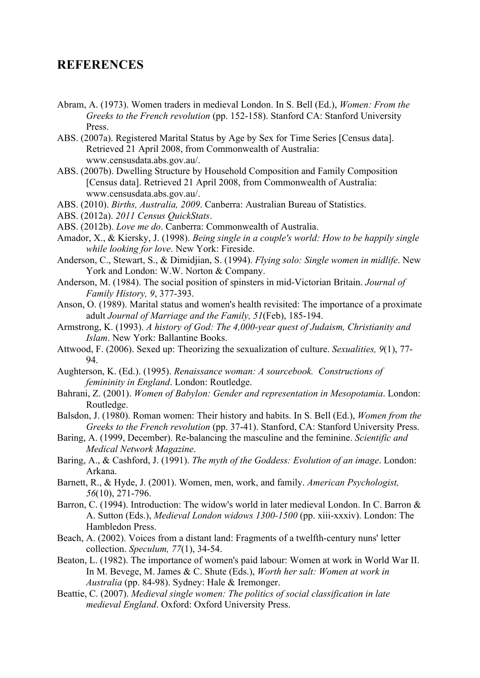## **REFERENCES**

- Abram, A. (1973). Women traders in medieval London. In S. Bell (Ed.), *Women: From the Greeks to the French revolution* (pp. 152-158). Stanford CA: Stanford University Press.
- ABS. (2007a). Registered Marital Status by Age by Sex for Time Series [Census data]. Retrieved 21 April 2008, from Commonwealth of Australia: www.censusdata.abs.gov.au/.
- ABS. (2007b). Dwelling Structure by Household Composition and Family Composition [Census data]. Retrieved 21 April 2008, from Commonwealth of Australia: www.censusdata.abs.gov.au/.
- ABS. (2010). *Births, Australia, 2009*. Canberra: Australian Bureau of Statistics.
- ABS. (2012a). *2011 Census QuickStats*.
- ABS. (2012b). *Love me do*. Canberra: Commonwealth of Australia.
- Amador, X., & Kiersky, J. (1998). *Being single in a couple's world: How to be happily single while looking for love*. New York: Fireside.
- Anderson, C., Stewart, S., & Dimidjian, S. (1994). *Flying solo: Single women in midlife*. New York and London: W.W. Norton & Company.
- Anderson, M. (1984). The social position of spinsters in mid-Victorian Britain. *Journal of Family History, 9*, 377-393.
- Anson, O. (1989). Marital status and women's health revisited: The importance of a proximate adult *Journal of Marriage and the Family, 51*(Feb), 185-194.
- Armstrong, K. (1993). *A history of God: The 4,000-year quest of Judaism, Christianity and Islam*. New York: Ballantine Books.
- Attwood, F. (2006). Sexed up: Theorizing the sexualization of culture. *Sexualities, 9*(1), 77- 94.
- Aughterson, K. (Ed.). (1995). *Renaissance woman: A sourcebook. Constructions of femininity in England*. London: Routledge.
- Bahrani, Z. (2001). *Women of Babylon: Gender and representation in Mesopotamia*. London: Routledge.
- Balsdon, J. (1980). Roman women: Their history and habits. In S. Bell (Ed.), *Women from the Greeks to the French revolution* (pp. 37-41). Stanford, CA: Stanford University Press.
- Baring, A. (1999, December). Re-balancing the masculine and the feminine. *Scientific and Medical Network Magazine*.
- Baring, A., & Cashford, J. (1991). *The myth of the Goddess: Evolution of an image*. London: Arkana.
- Barnett, R., & Hyde, J. (2001). Women, men, work, and family. *American Psychologist, 56*(10), 271-796.
- Barron, C. (1994). Introduction: The widow's world in later medieval London. In C. Barron & A. Sutton (Eds.), *Medieval London widows 1300-1500* (pp. xiii-xxxiv). London: The Hambledon Press.
- Beach, A. (2002). Voices from a distant land: Fragments of a twelfth-century nuns' letter collection. *Speculum, 77*(1), 34-54.
- Beaton, L. (1982). The importance of women's paid labour: Women at work in World War II. In M. Bevege, M. James & C. Shute (Eds.), *Worth her salt: Women at work in Australia* (pp. 84-98). Sydney: Hale & Iremonger.
- Beattie, C. (2007). *Medieval single women: The politics of social classification in late medieval England*. Oxford: Oxford University Press.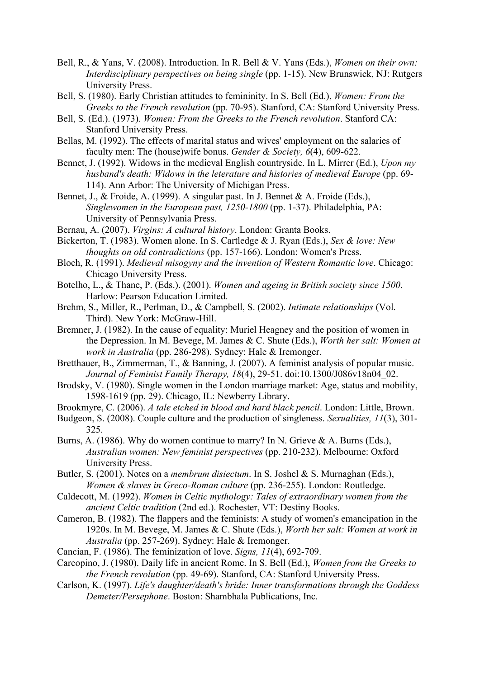- Bell, R., & Yans, V. (2008). Introduction. In R. Bell & V. Yans (Eds.), *Women on their own: Interdisciplinary perspectives on being single* (pp. 1-15). New Brunswick, NJ: Rutgers University Press.
- Bell, S. (1980). Early Christian attitudes to femininity. In S. Bell (Ed.), *Women: From the Greeks to the French revolution* (pp. 70-95). Stanford, CA: Stanford University Press.
- Bell, S. (Ed.). (1973). *Women: From the Greeks to the French revolution*. Stanford CA: Stanford University Press.
- Bellas, M. (1992). The effects of marital status and wives' employment on the salaries of faculty men: The (house)wife bonus. *Gender & Society, 6*(4), 609-622.
- Bennet, J. (1992). Widows in the medieval English countryside. In L. Mirrer (Ed.), *Upon my husband's death: Widows in the leterature and histories of medieval Europe* (pp. 69- 114). Ann Arbor: The University of Michigan Press.
- Bennet, J., & Froide, A. (1999). A singular past. In J. Bennet & A. Froide (Eds.), *Singlewomen in the European past, 1250-1800* (pp. 1-37). Philadelphia, PA: University of Pennsylvania Press.
- Bernau, A. (2007). *Virgins: A cultural history*. London: Granta Books.
- Bickerton, T. (1983). Women alone. In S. Cartledge & J. Ryan (Eds.), *Sex & love: New thoughts on old contradictions* (pp. 157-166). London: Women's Press.
- Bloch, R. (1991). *Medieval misogyny and the invention of Western Romantic love*. Chicago: Chicago University Press.
- Botelho, L., & Thane, P. (Eds.). (2001). *Women and ageing in British society since 1500*. Harlow: Pearson Education Limited.
- Brehm, S., Miller, R., Perlman, D., & Campbell, S. (2002). *Intimate relationships* (Vol. Third). New York: McGraw-Hill.
- Bremner, J. (1982). In the cause of equality: Muriel Heagney and the position of women in the Depression. In M. Bevege, M. James & C. Shute (Eds.), *Worth her salt: Women at work in Australia* (pp. 286-298). Sydney: Hale & Iremonger.
- Bretthauer, B., Zimmerman, T., & Banning, J. (2007). A feminist analysis of popular music. *Journal of Feminist Family Therapy, 18*(4), 29-51. doi:10.1300/J086v18n04\_02.
- Brodsky, V. (1980). Single women in the London marriage market: Age, status and mobility, 1598-1619 (pp. 29). Chicago, IL: Newberry Library.
- Brookmyre, C. (2006). *A tale etched in blood and hard black pencil*. London: Little, Brown.
- Budgeon, S. (2008). Couple culture and the production of singleness. *Sexualities, 11*(3), 301- 325.
- Burns, A. (1986). Why do women continue to marry? In N. Grieve & A. Burns (Eds.), *Australian women: New feminist perspectives* (pp. 210-232). Melbourne: Oxford University Press.
- Butler, S. (2001). Notes on a *membrum disiectum*. In S. Joshel & S. Murnaghan (Eds.), *Women & slaves in Greco-Roman culture* (pp. 236-255). London: Routledge.
- Caldecott, M. (1992). *Women in Celtic mythology: Tales of extraordinary women from the ancient Celtic tradition* (2nd ed.). Rochester, VT: Destiny Books.
- Cameron, B. (1982). The flappers and the feminists: A study of women's emancipation in the 1920s. In M. Bevege, M. James & C. Shute (Eds.), *Worth her salt: Women at work in Australia* (pp. 257-269). Sydney: Hale & Iremonger.
- Cancian, F. (1986). The feminization of love. *Signs, 11*(4), 692-709.
- Carcopino, J. (1980). Daily life in ancient Rome. In S. Bell (Ed.), *Women from the Greeks to the French revolution* (pp. 49-69). Stanford, CA: Stanford University Press.
- Carlson, K. (1997). *Life's daughter/death's bride: Inner transformations through the Goddess Demeter/Persephone*. Boston: Shambhala Publications, Inc.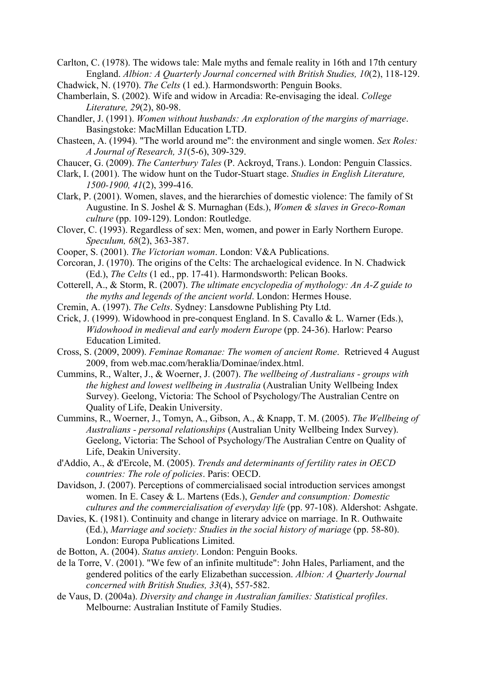Carlton, C. (1978). The widows tale: Male myths and female reality in 16th and 17th century England. *Albion: A Quarterly Journal concerned with British Studies, 10*(2), 118-129.

Chadwick, N. (1970). *The Celts* (1 ed.). Harmondsworth: Penguin Books.

- Chamberlain, S. (2002). Wife and widow in Arcadia: Re-envisaging the ideal. *College Literature, 29*(2), 80-98.
- Chandler, J. (1991). *Women without husbands: An exploration of the margins of marriage*. Basingstoke: MacMillan Education LTD.
- Chasteen, A. (1994). "The world around me": the environment and single women. *Sex Roles: A Journal of Research, 31*(5-6), 309-329.
- Chaucer, G. (2009). *The Canterbury Tales* (P. Ackroyd, Trans.). London: Penguin Classics.
- Clark, I. (2001). The widow hunt on the Tudor-Stuart stage. *Studies in English Literature, 1500-1900, 41*(2), 399-416.
- Clark, P. (2001). Women, slaves, and the hierarchies of domestic violence: The family of St Augustine. In S. Joshel & S. Murnaghan (Eds.), *Women & slaves in Greco-Roman culture* (pp. 109-129). London: Routledge.
- Clover, C. (1993). Regardless of sex: Men, women, and power in Early Northern Europe. *Speculum, 68*(2), 363-387.
- Cooper, S. (2001). *The Victorian woman*. London: V&A Publications.
- Corcoran, J. (1970). The origins of the Celts: The archaelogical evidence. In N. Chadwick (Ed.), *The Celts* (1 ed., pp. 17-41). Harmondsworth: Pelican Books.
- Cotterell, A., & Storm, R. (2007). *The ultimate encyclopedia of mythology: An A-Z guide to the myths and legends of the ancient world*. London: Hermes House.
- Cremin, A. (1997). *The Celts*. Sydney: Lansdowne Publishing Pty Ltd.
- Crick, J. (1999). Widowhood in pre-conquest England. In S. Cavallo & L. Warner (Eds.), *Widowhood in medieval and early modern Europe* (pp. 24-36). Harlow: Pearso Education Limited.
- Cross, S. (2009, 2009). *Feminae Romanae: The women of ancient Rome*. Retrieved 4 August 2009, from web.mac.com/heraklia/Dominae/index.html.
- Cummins, R., Walter, J., & Woerner, J. (2007). *The wellbeing of Australians groups with the highest and lowest wellbeing in Australia* (Australian Unity Wellbeing Index Survey). Geelong, Victoria: The School of Psychology/The Australian Centre on Quality of Life, Deakin University.
- Cummins, R., Woerner, J., Tomyn, A., Gibson, A., & Knapp, T. M. (2005). *The Wellbeing of Australians - personal relationships* (Australian Unity Wellbeing Index Survey). Geelong, Victoria: The School of Psychology/The Australian Centre on Quality of Life, Deakin University.
- d'Addio, A., & d'Ercole, M. (2005). *Trends and determinants of fertility rates in OECD countries: The role of policies*. Paris: OECD.
- Davidson, J. (2007). Perceptions of commercialisaed social introduction services amongst women. In E. Casey & L. Martens (Eds.), *Gender and consumption: Domestic cultures and the commercialisation of everyday life* (pp. 97-108). Aldershot: Ashgate.
- Davies, K. (1981). Continuity and change in literary advice on marriage. In R. Outhwaite (Ed.), *Marriage and society: Studies in the social history of mariage* (pp. 58-80). London: Europa Publications Limited.
- de Botton, A. (2004). *Status anxiety*. London: Penguin Books.
- de la Torre, V. (2001). "We few of an infinite multitude": John Hales, Parliament, and the gendered politics of the early Elizabethan succession. *Albion: A Quarterly Journal concerned with British Studies, 33*(4), 557-582.
- de Vaus, D. (2004a). *Diversity and change in Australian families: Statistical profiles*. Melbourne: Australian Institute of Family Studies.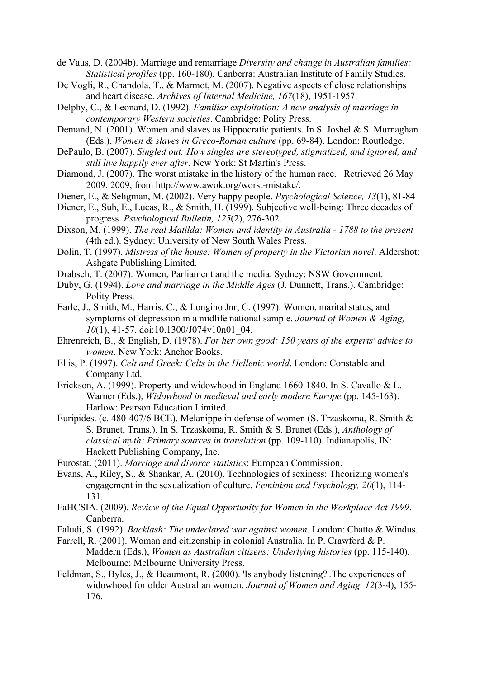de Vaus, D. (2004b). Marriage and remarriage *Diversity and change in Australian families: Statistical profiles* (pp. 160-180). Canberra: Australian Institute of Family Studies.

- De Vogli, R., Chandola, T., & Marmot, M. (2007). Negative aspects of close relationships and heart disease. *Archives of Internal Medicine, 167*(18), 1951-1957.
- Delphy, C., & Leonard, D. (1992). *Familiar exploitation: A new analysis of marriage in contemporary Western societies*. Cambridge: Polity Press.
- Demand, N. (2001). Women and slaves as Hippocratic patients. In S. Joshel & S. Murnaghan (Eds.), *Women & slaves in Greco-Roman culture* (pp. 69-84). London: Routledge.
- DePaulo, B. (2007). *Singled out: How singles are stereotyped, stigmatized, and ignored, and still live happily ever after*. New York: St Martin's Press.
- Diamond, J. (2007). The worst mistake in the history of the human race. Retrieved 26 May 2009, 2009, from http://www.awok.org/worst-mistake/.
- Diener, E., & Seligman, M. (2002). Very happy people. *Psychological Science, 13*(1), 81-84
- Diener, E., Suh, E., Lucas, R., & Smith, H. (1999). Subjective well-being: Three decades of progress. *Psychological Bulletin, 125*(2), 276-302.
- Dixson, M. (1999). *The real Matilda: Women and identity in Australia 1788 to the present* (4th ed.). Sydney: University of New South Wales Press.
- Dolin, T. (1997). *Mistress of the house: Women of property in the Victorian novel*. Aldershot: Ashgate Publishing Limited.
- Drabsch, T. (2007). Women, Parliament and the media. Sydney: NSW Government.
- Duby, G. (1994). *Love and marriage in the Middle Ages* (J. Dunnett, Trans.). Cambridge: Polity Press.
- Earle, J., Smith, M., Harris, C., & Longino Jnr, C. (1997). Women, marital status, and symptoms of depression in a midlife national sample. *Journal of Women & Aging, 10*(1), 41-57. doi:10.1300/J074v10n01\_04.
- Ehrenreich, B., & English, D. (1978). *For her own good: 150 years of the experts' advice to women*. New York: Anchor Books.
- Ellis, P. (1997). *Celt and Greek: Celts in the Hellenic world*. London: Constable and Company Ltd.
- Erickson, A. (1999). Property and widowhood in England 1660-1840. In S. Cavallo & L. Warner (Eds.), *Widowhood in medieval and early modern Europe* (pp. 145-163). Harlow: Pearson Education Limited.
- Euripides. (c. 480-407/6 BCE). Melanippe in defense of women (S. Trzaskoma, R. Smith & S. Brunet, Trans.). In S. Trzaskoma, R. Smith & S. Brunet (Eds.), *Anthology of classical myth: Primary sources in translation* (pp. 109-110). Indianapolis, IN: Hackett Publishing Company, Inc.
- Eurostat. (2011). *Marriage and divorce statistics*: European Commission.
- Evans, A., Riley, S., & Shankar, A. (2010). Technologies of sexiness: Theorizing women's engagement in the sexualization of culture. *Feminism and Psychology, 20*(1), 114- 131.
- FaHCSIA. (2009). *Review of the Equal Opportunity for Women in the Workplace Act 1999*. Canberra.
- Faludi, S. (1992). *Backlash: The undeclared war against women*. London: Chatto & Windus.
- Farrell, R. (2001). Woman and citizenship in colonial Australia. In P. Crawford & P. Maddern (Eds.), *Women as Australian citizens: Underlying histories* (pp. 115-140). Melbourne: Melbourne University Press.
- Feldman, S., Byles, J., & Beaumont, R. (2000). 'Is anybody listening?'.The experiences of widowhood for older Australian women. *Journal of Women and Aging, 12*(3-4), 155- 176.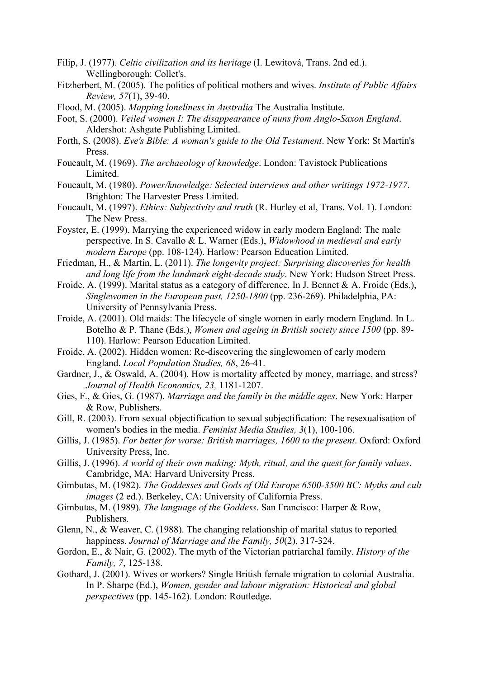- Filip, J. (1977). *Celtic civilization and its heritage* (I. Lewitová, Trans. 2nd ed.). Wellingborough: Collet's.
- Fitzherbert, M. (2005). The politics of political mothers and wives. *Institute of Public Affairs Review, 57*(1), 39-40.
- Flood, M. (2005). *Mapping loneliness in Australia* The Australia Institute.
- Foot, S. (2000). *Veiled women I: The disappearance of nuns from Anglo-Saxon England*. Aldershot: Ashgate Publishing Limited.
- Forth, S. (2008). *Eve's Bible: A woman's guide to the Old Testament*. New York: St Martin's Press.
- Foucault, M. (1969). *The archaeology of knowledge*. London: Tavistock Publications **Limited**
- Foucault, M. (1980). *Power/knowledge: Selected interviews and other writings 1972-1977*. Brighton: The Harvester Press Limited.
- Foucault, M. (1997). *Ethics: Subjectivity and truth* (R. Hurley et al, Trans. Vol. 1). London: The New Press.
- Foyster, E. (1999). Marrying the experienced widow in early modern England: The male perspective. In S. Cavallo & L. Warner (Eds.), *Widowhood in medieval and early modern Europe* (pp. 108-124). Harlow: Pearson Education Limited.
- Friedman, H., & Martin, L. (2011). *The longevity project: Surprising discoveries for health and long life from the landmark eight-decade study*. New York: Hudson Street Press.
- Froide, A. (1999). Marital status as a category of difference. In J. Bennet & A. Froide (Eds.), *Singlewomen in the European past, 1250-1800* (pp. 236-269). Philadelphia, PA: University of Pennsylvania Press.
- Froide, A. (2001). Old maids: The lifecycle of single women in early modern England. In L. Botelho & P. Thane (Eds.), *Women and ageing in British society since 1500* (pp. 89- 110). Harlow: Pearson Education Limited.
- Froide, A. (2002). Hidden women: Re-discovering the singlewomen of early modern England. *Local Population Studies, 68*, 26-41.
- Gardner, J., & Oswald, A. (2004). How is mortality affected by money, marriage, and stress? *Journal of Health Economics, 23,* 1181-1207.
- Gies, F., & Gies, G. (1987). *Marriage and the family in the middle ages*. New York: Harper & Row, Publishers.
- Gill, R. (2003). From sexual objectification to sexual subjectification: The resexualisation of women's bodies in the media. *Feminist Media Studies, 3*(1), 100-106.
- Gillis, J. (1985). *For better for worse: British marriages, 1600 to the present*. Oxford: Oxford University Press, Inc.
- Gillis, J. (1996). *A world of their own making: Myth, ritual, and the quest for family values*. Cambridge, MA: Harvard University Press.
- Gimbutas, M. (1982). *The Goddesses and Gods of Old Europe 6500-3500 BC: Myths and cult images* (2 ed.). Berkeley, CA: University of California Press.
- Gimbutas, M. (1989). *The language of the Goddess*. San Francisco: Harper & Row, Publishers.
- Glenn, N., & Weaver, C. (1988). The changing relationship of marital status to reported happiness. *Journal of Marriage and the Family, 50*(2), 317-324.
- Gordon, E., & Nair, G. (2002). The myth of the Victorian patriarchal family. *History of the Family, 7*, 125-138.
- Gothard, J. (2001). Wives or workers? Single British female migration to colonial Australia. In P. Sharpe (Ed.), *Women, gender and labour migration: Historical and global perspectives* (pp. 145-162). London: Routledge.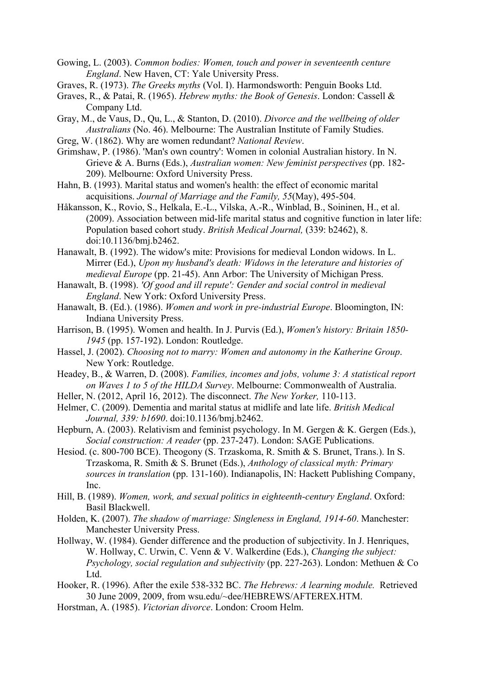- Gowing, L. (2003). *Common bodies: Women, touch and power in seventeenth centure England*. New Haven, CT: Yale University Press.
- Graves, R. (1973). *The Greeks myths* (Vol. I). Harmondsworth: Penguin Books Ltd.
- Graves, R., & Patai, R. (1965). *Hebrew myths: the Book of Genesis*. London: Cassell & Company Ltd.
- Gray, M., de Vaus, D., Qu, L., & Stanton, D. (2010). *Divorce and the wellbeing of older Australians* (No. 46). Melbourne: The Australian Institute of Family Studies.
- Greg, W. (1862). Why are women redundant? *National Review*.
- Grimshaw, P. (1986). 'Man's own country': Women in colonial Australian history. In N. Grieve & A. Burns (Eds.), *Australian women: New feminist perspectives* (pp. 182- 209). Melbourne: Oxford University Press.
- Hahn, B. (1993). Marital status and women's health: the effect of economic marital acquisitions. *Journal of Marriage and the Family, 55*(May), 495-504.
- Håkansson, K., Rovio, S., Helkala, E.-L., Vilska, A.-R., Winblad, B., Soininen, H., et al. (2009). Association between mid-life marital status and cognitive function in later life: Population based cohort study. *British Medical Journal,* (339: b2462), 8. doi:10.1136/bmj.b2462.
- Hanawalt, B. (1992). The widow's mite: Provisions for medieval London widows. In L. Mirrer (Ed.), *Upon my husband's death: Widows in the leterature and histories of medieval Europe* (pp. 21-45). Ann Arbor: The University of Michigan Press.
- Hanawalt, B. (1998). *'Of good and ill repute': Gender and social control in medieval England*. New York: Oxford University Press.
- Hanawalt, B. (Ed.). (1986). *Women and work in pre-industrial Europe*. Bloomington, IN: Indiana University Press.
- Harrison, B. (1995). Women and health. In J. Purvis (Ed.), *Women's history: Britain 1850- 1945* (pp. 157-192). London: Routledge.
- Hassel, J. (2002). *Choosing not to marry: Women and autonomy in the Katherine Group*. New York: Routledge.
- Headey, B., & Warren, D. (2008). *Families, incomes and jobs, volume 3: A statistical report on Waves 1 to 5 of the HILDA Survey*. Melbourne: Commonwealth of Australia.
- Heller, N. (2012, April 16, 2012). The disconnect. *The New Yorker,* 110-113.
- Helmer, C. (2009). Dementia and marital status at midlife and late life. *British Medical Journal, 339: b1690*. doi:10.1136/bmj.b2462.
- Hepburn, A. (2003). Relativism and feminist psychology. In M. Gergen & K. Gergen (Eds.), *Social construction: A reader* (pp. 237-247). London: SAGE Publications.
- Hesiod. (c. 800-700 BCE). Theogony (S. Trzaskoma, R. Smith & S. Brunet, Trans.). In S. Trzaskoma, R. Smith & S. Brunet (Eds.), *Anthology of classical myth: Primary sources in translation* (pp. 131-160). Indianapolis, IN: Hackett Publishing Company, Inc.
- Hill, B. (1989). *Women, work, and sexual politics in eighteenth-century England*. Oxford: Basil Blackwell.
- Holden, K. (2007). *The shadow of marriage: Singleness in England, 1914-60*. Manchester: Manchester University Press.
- Hollway, W. (1984). Gender difference and the production of subjectivity. In J. Henriques, W. Hollway, C. Urwin, C. Venn & V. Walkerdine (Eds.), *Changing the subject: Psychology, social regulation and subjectivity* (pp. 227-263). London: Methuen & Co Ltd.
- Hooker, R. (1996). After the exile 538-332 BC. *The Hebrews: A learning module.* Retrieved 30 June 2009, 2009, from wsu.edu/~dee/HEBREWS/AFTEREX.HTM.
- Horstman, A. (1985). *Victorian divorce*. London: Croom Helm.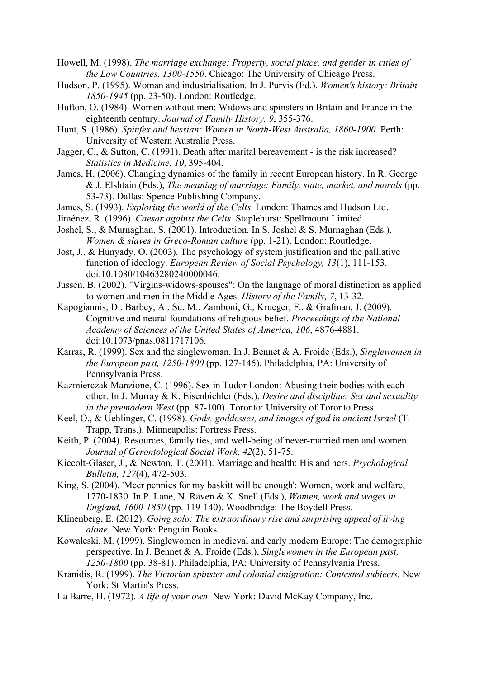- Howell, M. (1998). *The marriage exchange: Property, social place, and gender in cities of the Low Countries, 1300-1550*. Chicago: The University of Chicago Press.
- Hudson, P. (1995). Woman and industrialisation. In J. Purvis (Ed.), *Women's history: Britain 1850-1945* (pp. 23-50). London: Routledge.
- Hufton, O. (1984). Women without men: Widows and spinsters in Britain and France in the eighteenth century. *Journal of Family History, 9*, 355-376.
- Hunt, S. (1986). *Spinfex and hessian: Women in North-West Australia, 1860-1900*. Perth: University of Western Australia Press.
- Jagger, C., & Sutton, C. (1991). Death after marital bereavement is the risk increased? *Statistics in Medicine, 10*, 395-404.
- James, H. (2006). Changing dynamics of the family in recent European history. In R. George & J. Elshtain (Eds.), *The meaning of marriage: Family, state, market, and morals* (pp. 53-73). Dallas: Spence Publishing Company.
- James, S. (1993). *Exploring the world of the Celts*. London: Thames and Hudson Ltd.
- Jiménez, R. (1996). *Caesar against the Celts*. Staplehurst: Spellmount Limited.
- Joshel, S., & Murnaghan, S. (2001). Introduction. In S. Joshel & S. Murnaghan (Eds.), *Women & slaves in Greco-Roman culture* (pp. 1-21). London: Routledge.
- Jost, J., & Hunyady, O. (2003). The psychology of system justification and the palliative function of ideology. *European Review of Social Psychology, 13*(1), 111-153. doi:10.1080/10463280240000046.
- Jussen, B. (2002). "Virgins-widows-spouses": On the language of moral distinction as applied to women and men in the Middle Ages. *History of the Family, 7*, 13-32.
- Kapogiannis, D., Barbey, A., Su, M., Zamboni, G., Krueger, F., & Grafman, J. (2009). Cognitive and neural foundations of religious belief. *Proceedings of the National Academy of Sciences of the United States of America, 106*, 4876-4881. doi:10.1073/pnas.0811717106.
- Karras, R. (1999). Sex and the singlewoman. In J. Bennet & A. Froide (Eds.), *Singlewomen in the European past, 1250-1800* (pp. 127-145). Philadelphia, PA: University of Pennsylvania Press.
- Kazmierczak Manzione, C. (1996). Sex in Tudor London: Abusing their bodies with each other. In J. Murray & K. Eisenbichler (Eds.), *Desire and discipline: Sex and sexuality in the premodern West* (pp. 87-100). Toronto: University of Toronto Press.
- Keel, O., & Uehlinger, C. (1998). *Gods, goddesses, and images of god in ancient Israel* (T. Trapp, Trans.). Minneapolis: Fortress Press.
- Keith, P. (2004). Resources, family ties, and well-being of never-married men and women. *Journal of Gerontological Social Work, 42*(2), 51-75.
- Kiecolt-Glaser, J., & Newton, T. (2001). Marriage and health: His and hers. *Psychological Bulletin, 127*(4), 472-503.
- King, S. (2004). 'Meer pennies for my baskitt will be enough': Women, work and welfare, 1770-1830. In P. Lane, N. Raven & K. Snell (Eds.), *Women, work and wages in England, 1600-1850* (pp. 119-140). Woodbridge: The Boydell Press.
- Klinenberg, E. (2012). *Going solo: The extraordinary rise and surprising appeal of living alone*. New York: Penguin Books.
- Kowaleski, M. (1999). Singlewomen in medieval and early modern Europe: The demographic perspective. In J. Bennet & A. Froide (Eds.), *Singlewomen in the European past, 1250-1800* (pp. 38-81). Philadelphia, PA: University of Pennsylvania Press.
- Kranidis, R. (1999). *The Victorian spinster and colonial emigration: Contested subjects*. New York: St Martin's Press.
- La Barre, H. (1972). *A life of your own*. New York: David McKay Company, Inc.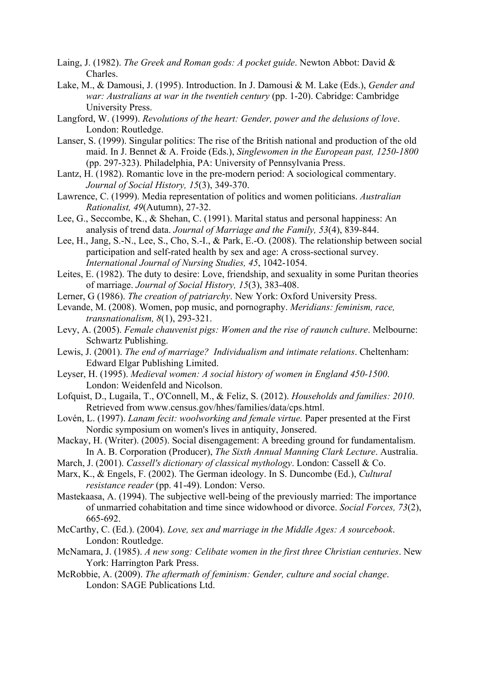- Laing, J. (1982). *The Greek and Roman gods: A pocket guide*. Newton Abbot: David & Charles.
- Lake, M., & Damousi, J. (1995). Introduction. In J. Damousi & M. Lake (Eds.), *Gender and war: Australians at war in the twentieh century* (pp. 1-20). Cabridge: Cambridge University Press.
- Langford, W. (1999). *Revolutions of the heart: Gender, power and the delusions of love*. London: Routledge.
- Lanser, S. (1999). Singular politics: The rise of the British national and production of the old maid. In J. Bennet & A. Froide (Eds.), *Singlewomen in the European past, 1250-1800* (pp. 297-323). Philadelphia, PA: University of Pennsylvania Press.
- Lantz, H. (1982). Romantic love in the pre-modern period: A sociological commentary. *Journal of Social History, 15*(3), 349-370.
- Lawrence, C. (1999). Media representation of politics and women politicians. *Australian Rationalist, 49*(Autumn), 27-32.
- Lee, G., Seccombe, K., & Shehan, C. (1991). Marital status and personal happiness: An analysis of trend data. *Journal of Marriage and the Family, 53*(4), 839-844.
- Lee, H., Jang, S.-N., Lee, S., Cho, S.-I., & Park, E.-O. (2008). The relationship between social participation and self-rated health by sex and age: A cross-sectional survey. *International Journal of Nursing Studies, 45*, 1042-1054.
- Leites, E. (1982). The duty to desire: Love, friendship, and sexuality in some Puritan theories of marriage. *Journal of Social History, 15*(3), 383-408.
- Lerner, G (1986). *The creation of patriarchy*. New York: Oxford University Press.
- Levande, M. (2008). Women, pop music, and pornography. *Meridians: feminism, race, transnationalism, 8*(1), 293-321.
- Levy, A. (2005). *Female chauvenist pigs: Women and the rise of raunch culture*. Melbourne: Schwartz Publishing.
- Lewis, J. (2001). *The end of marriage? Individualism and intimate relations*. Cheltenham: Edward Elgar Publishing Limited.
- Leyser, H. (1995). *Medieval women: A social history of women in England 450-1500*. London: Weidenfeld and Nicolson.
- Lofquist, D., Lugaila, T., O'Connell, M., & Feliz, S. (2012). *Households and families: 2010*. Retrieved from www.census.gov/hhes/families/data/cps.html.
- Lovén, L. (1997). *Lanam fecit: woolworking and female virtue.* Paper presented at the First Nordic symposium on women's lives in antiquity, Jonsered.
- Mackay, H. (Writer). (2005). Social disengagement: A breeding ground for fundamentalism. In A. B. Corporation (Producer), *The Sixth Annual Manning Clark Lecture*. Australia.
- March, J. (2001). *Cassell's dictionary of classical mythology*. London: Cassell & Co.
- Marx, K., & Engels, F. (2002). The German ideology. In S. Duncombe (Ed.), *Cultural resistance reader* (pp. 41-49). London: Verso.
- Mastekaasa, A. (1994). The subjective well-being of the previously married: The importance of unmarried cohabitation and time since widowhood or divorce. *Social Forces, 73*(2), 665-692.
- McCarthy, C. (Ed.). (2004). *Love, sex and marriage in the Middle Ages: A sourcebook*. London: Routledge.
- McNamara, J. (1985). *A new song: Celibate women in the first three Christian centuries*. New York: Harrington Park Press.
- McRobbie, A. (2009). *The aftermath of feminism: Gender, culture and social change*. London: SAGE Publications Ltd.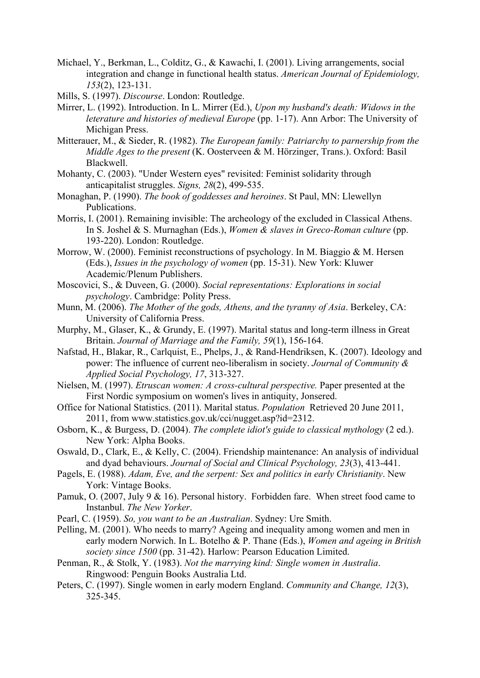- Michael, Y., Berkman, L., Colditz, G., & Kawachi, I. (2001). Living arrangements, social integration and change in functional health status. *American Journal of Epidemiology, 153*(2), 123-131.
- Mills, S. (1997). *Discourse*. London: Routledge.
- Mirrer, L. (1992). Introduction. In L. Mirrer (Ed.), *Upon my husband's death: Widows in the leterature and histories of medieval Europe* (pp. 1-17). Ann Arbor: The University of Michigan Press.
- Mitterauer, M., & Sieder, R. (1982). *The European family: Patriarchy to parnership from the Middle Ages to the present* (K. Oosterveen & M. Hörzinger, Trans.). Oxford: Basil Blackwell.
- Mohanty, C. (2003). "Under Western eyes" revisited: Feminist solidarity through anticapitalist struggles. *Signs, 28*(2), 499-535.
- Monaghan, P. (1990). *The book of goddesses and heroines*. St Paul, MN: Llewellyn Publications.
- Morris, I. (2001). Remaining invisible: The archeology of the excluded in Classical Athens. In S. Joshel & S. Murnaghan (Eds.), *Women & slaves in Greco-Roman culture* (pp. 193-220). London: Routledge.
- Morrow, W. (2000). Feminist reconstructions of psychology. In M. Biaggio & M. Hersen (Eds.), *Issues in the psychology of women* (pp. 15-31). New York: Kluwer Academic/Plenum Publishers.
- Moscovici, S., & Duveen, G. (2000). *Social representations: Explorations in social psychology*. Cambridge: Polity Press.
- Munn, M. (2006). *The Mother of the gods, Athens, and the tyranny of Asia*. Berkeley, CA: University of California Press.
- Murphy, M., Glaser, K., & Grundy, E. (1997). Marital status and long-term illness in Great Britain. *Journal of Marriage and the Family, 59*(1), 156-164.
- Nafstad, H., Blakar, R., Carlquist, E., Phelps, J., & Rand-Hendriksen, K. (2007). Ideology and power: The influence of current neo-liberalism in society. *Journal of Community & Applied Social Psychology, 17*, 313-327.
- Nielsen, M. (1997). *Etruscan women: A cross-cultural perspective.* Paper presented at the First Nordic symposium on women's lives in antiquity, Jonsered.
- Office for National Statistics. (2011). Marital status. *Population* Retrieved 20 June 2011, 2011, from www.statistics.gov.uk/cci/nugget.asp?id=2312.
- Osborn, K., & Burgess, D. (2004). *The complete idiot's guide to classical mythology* (2 ed.). New York: Alpha Books.
- Oswald, D., Clark, E., & Kelly, C. (2004). Friendship maintenance: An analysis of individual and dyad behaviours. *Journal of Social and Clinical Psychology, 23*(3), 413-441.
- Pagels, E. (1988). *Adam, Eve, and the serpent: Sex and politics in early Christianity*. New York: Vintage Books.
- Pamuk, O. (2007, July 9 & 16). Personal history. Forbidden fare. When street food came to Instanbul. *The New Yorker*.
- Pearl, C. (1959). *So, you want to be an Australian*. Sydney: Ure Smith.
- Pelling, M. (2001). Who needs to marry? Ageing and inequality among women and men in early modern Norwich. In L. Botelho & P. Thane (Eds.), *Women and ageing in British society since 1500* (pp. 31-42). Harlow: Pearson Education Limited.
- Penman, R., & Stolk, Y. (1983). *Not the marrying kind: Single women in Australia*. Ringwood: Penguin Books Australia Ltd.
- Peters, C. (1997). Single women in early modern England. *Community and Change, 12*(3), 325-345.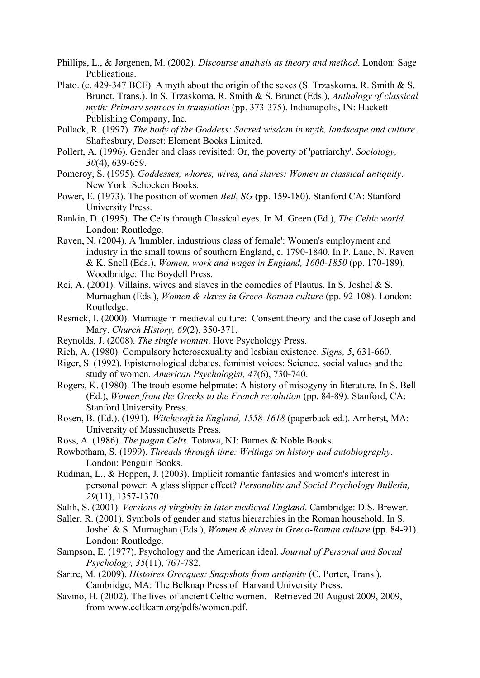- Phillips, L., & Jørgenen, M. (2002). *Discourse analysis as theory and method*. London: Sage Publications.
- Plato. (c. 429-347 BCE). A myth about the origin of the sexes (S. Trzaskoma, R. Smith & S. Brunet, Trans.). In S. Trzaskoma, R. Smith & S. Brunet (Eds.), *Anthology of classical myth: Primary sources in translation* (pp. 373-375). Indianapolis, IN: Hackett Publishing Company, Inc.
- Pollack, R. (1997). *The body of the Goddess: Sacred wisdom in myth, landscape and culture*. Shaftesbury, Dorset: Element Books Limited.
- Pollert, A. (1996). Gender and class revisited: Or, the poverty of 'patriarchy'. *Sociology, 30*(4), 639-659.
- Pomeroy, S. (1995). *Goddesses, whores, wives, and slaves: Women in classical antiquity*. New York: Schocken Books.
- Power, E. (1973). The position of women *Bell, SG* (pp. 159-180). Stanford CA: Stanford University Press.
- Rankin, D. (1995). The Celts through Classical eyes. In M. Green (Ed.), *The Celtic world*. London: Routledge.
- Raven, N. (2004). A 'humbler, industrious class of female': Women's employment and industry in the small towns of southern England, c. 1790-1840. In P. Lane, N. Raven & K. Snell (Eds.), *Women, work and wages in England, 1600-1850* (pp. 170-189). Woodbridge: The Boydell Press.
- Rei, A. (2001). Villains, wives and slaves in the comedies of Plautus. In S. Joshel & S. Murnaghan (Eds.), *Women & slaves in Greco-Roman culture* (pp. 92-108). London: Routledge.
- Resnick, I. (2000). Marriage in medieval culture: Consent theory and the case of Joseph and Mary. *Church History, 69*(2), 350-371.
- Reynolds, J. (2008). *The single woman*. Hove Psychology Press.
- Rich, A. (1980). Compulsory heterosexuality and lesbian existence. *Signs, 5*, 631-660.
- Riger, S. (1992). Epistemological debates, feminist voices: Science, social values and the study of women. *American Psychologist, 47*(6), 730-740.
- Rogers, K. (1980). The troublesome helpmate: A history of misogyny in literature. In S. Bell (Ed.), *Women from the Greeks to the French revolution* (pp. 84-89). Stanford, CA: Stanford University Press.
- Rosen, B. (Ed.). (1991). *Witchcraft in England, 1558-1618* (paperback ed.). Amherst, MA: University of Massachusetts Press.
- Ross, A. (1986). *The pagan Celts*. Totawa, NJ: Barnes & Noble Books.
- Rowbotham, S. (1999). *Threads through time: Writings on history and autobiography*. London: Penguin Books.
- Rudman, L., & Heppen, J. (2003). Implicit romantic fantasies and women's interest in personal power: A glass slipper effect? *Personality and Social Psychology Bulletin, 29*(11), 1357-1370.
- Salih, S. (2001). *Versions of virginity in later medieval England*. Cambridge: D.S. Brewer.
- Saller, R. (2001). Symbols of gender and status hierarchies in the Roman household. In S. Joshel & S. Murnaghan (Eds.), *Women & slaves in Greco-Roman culture* (pp. 84-91). London: Routledge.
- Sampson, E. (1977). Psychology and the American ideal. *Journal of Personal and Social Psychology, 35*(11), 767-782.
- Sartre, M. (2009). *Histoires Grecques: Snapshots from antiquity* (C. Porter, Trans.). Cambridge, MA: The Belknap Press of Harvard University Press.
- Savino, H. (2002). The lives of ancient Celtic women. Retrieved 20 August 2009, 2009, from www.celtlearn.org/pdfs/women.pdf.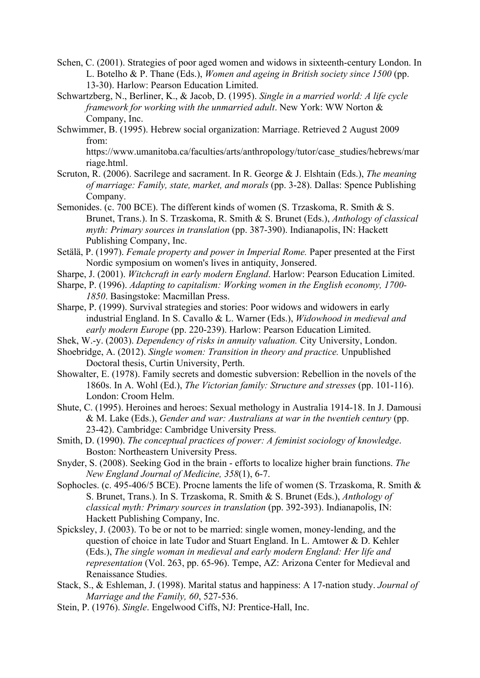- Schen, C. (2001). Strategies of poor aged women and widows in sixteenth-century London. In L. Botelho & P. Thane (Eds.), *Women and ageing in British society since 1500* (pp. 13-30). Harlow: Pearson Education Limited.
- Schwartzberg, N., Berliner, K., & Jacob, D. (1995). *Single in a married world: A life cycle framework for working with the unmarried adult*. New York: WW Norton & Company, Inc.
- Schwimmer, B. (1995). Hebrew social organization: Marriage. Retrieved 2 August 2009 from:

https://www.umanitoba.ca/faculties/arts/anthropology/tutor/case\_studies/hebrews/mar riage.html.

- Scruton, R. (2006). Sacrilege and sacrament. In R. George & J. Elshtain (Eds.), *The meaning of marriage: Family, state, market, and morals* (pp. 3-28). Dallas: Spence Publishing Company.
- Semonides. (c. 700 BCE). The different kinds of women (S. Trzaskoma, R. Smith & S. Brunet, Trans.). In S. Trzaskoma, R. Smith & S. Brunet (Eds.), *Anthology of classical myth: Primary sources in translation* (pp. 387-390). Indianapolis, IN: Hackett Publishing Company, Inc.
- Setälä, P. (1997). *Female property and power in Imperial Rome.* Paper presented at the First Nordic symposium on women's lives in antiquity, Jonsered.
- Sharpe, J. (2001). *Witchcraft in early modern England*. Harlow: Pearson Education Limited.
- Sharpe, P. (1996). *Adapting to capitalism: Working women in the English economy, 1700- 1850*. Basingstoke: Macmillan Press.
- Sharpe, P. (1999). Survival strategies and stories: Poor widows and widowers in early industrial England. In S. Cavallo & L. Warner (Eds.), *Widowhood in medieval and early modern Europe* (pp. 220-239). Harlow: Pearson Education Limited.
- Shek, W.-y. (2003). *Dependency of risks in annuity valuation.* City University, London.
- Shoebridge, A. (2012). *Single women: Transition in theory and practice.* Unpublished Doctoral thesis, Curtin University, Perth.
- Showalter, E. (1978). Family secrets and domestic subversion: Rebellion in the novels of the 1860s. In A. Wohl (Ed.), *The Victorian family: Structure and stresses* (pp. 101-116). London: Croom Helm.
- Shute, C. (1995). Heroines and heroes: Sexual methology in Australia 1914-18. In J. Damousi & M. Lake (Eds.), *Gender and war: Australians at war in the twentieh century* (pp. 23-42). Cambridge: Cambridge University Press.
- Smith, D. (1990). *The conceptual practices of power: A feminist sociology of knowledge*. Boston: Northeastern University Press.
- Snyder, S. (2008). Seeking God in the brain efforts to localize higher brain functions. *The New England Journal of Medicine, 358*(1), 6-7.
- Sophocles. (c. 495-406/5 BCE). Procne laments the life of women (S. Trzaskoma, R. Smith & S. Brunet, Trans.). In S. Trzaskoma, R. Smith & S. Brunet (Eds.), *Anthology of classical myth: Primary sources in translation* (pp. 392-393). Indianapolis, IN: Hackett Publishing Company, Inc.
- Spicksley, J. (2003). To be or not to be married: single women, money-lending, and the question of choice in late Tudor and Stuart England. In L. Amtower & D. Kehler (Eds.), *The single woman in medieval and early modern England: Her life and representation* (Vol. 263, pp. 65-96). Tempe, AZ: Arizona Center for Medieval and Renaissance Studies.
- Stack, S., & Eshleman, J. (1998). Marital status and happiness: A 17-nation study. *Journal of Marriage and the Family, 60*, 527-536.
- Stein, P. (1976). *Single*. Engelwood Ciffs, NJ: Prentice-Hall, Inc.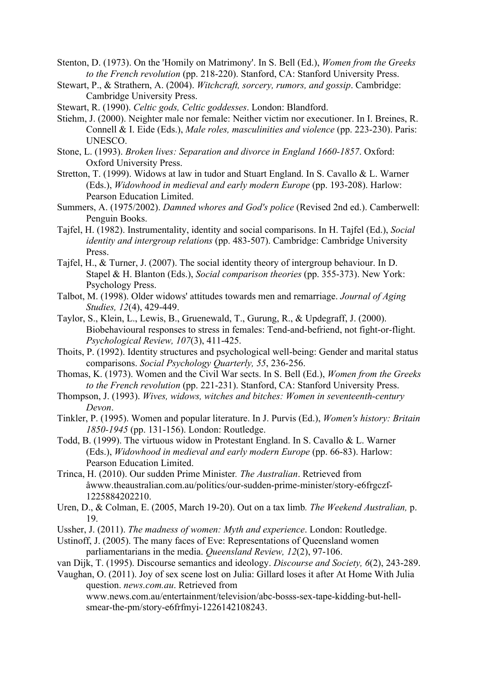- Stenton, D. (1973). On the 'Homily on Matrimony'. In S. Bell (Ed.), *Women from the Greeks to the French revolution* (pp. 218-220). Stanford, CA: Stanford University Press.
- Stewart, P., & Strathern, A. (2004). *Witchcraft, sorcery, rumors, and gossip*. Cambridge: Cambridge University Press.
- Stewart, R. (1990). *Celtic gods, Celtic goddesses*. London: Blandford.
- Stiehm, J. (2000). Neighter male nor female: Neither victim nor executioner. In I. Breines, R. Connell & I. Eide (Eds.), *Male roles, masculinities and violence* (pp. 223-230). Paris: UNESCO.
- Stone, L. (1993). *Broken lives: Separation and divorce in England 1660-1857*. Oxford: Oxford University Press.
- Stretton, T. (1999). Widows at law in tudor and Stuart England. In S. Cavallo & L. Warner (Eds.), *Widowhood in medieval and early modern Europe* (pp. 193-208). Harlow: Pearson Education Limited.
- Summers, A. (1975/2002). *Damned whores and God's police* (Revised 2nd ed.). Camberwell: Penguin Books.
- Tajfel, H. (1982). Instrumentality, identity and social comparisons. In H. Tajfel (Ed.), *Social identity and intergroup relations* (pp. 483-507). Cambridge: Cambridge University Press.
- Tajfel, H., & Turner, J. (2007). The social identity theory of intergroup behaviour. In D. Stapel & H. Blanton (Eds.), *Social comparison theories* (pp. 355-373). New York: Psychology Press.
- Talbot, M. (1998). Older widows' attitudes towards men and remarriage. *Journal of Aging Studies, 12*(4), 429-449.
- Taylor, S., Klein, L., Lewis, B., Gruenewald, T., Gurung, R., & Updegraff, J. (2000). Biobehavioural responses to stress in females: Tend-and-befriend, not fight-or-flight. *Psychological Review, 107*(3), 411-425.
- Thoits, P. (1992). Identity structures and psychological well-being: Gender and marital status comparisons. *Social Psychology Quarterly, 55*, 236-256.
- Thomas, K. (1973). Women and the Civil War sects. In S. Bell (Ed.), *Women from the Greeks to the French revolution* (pp. 221-231). Stanford, CA: Stanford University Press.
- Thompson, J. (1993). *Wives, widows, witches and bitches: Women in seventeenth-century Devon*.
- Tinkler, P. (1995). Women and popular literature. In J. Purvis (Ed.), *Women's history: Britain 1850-1945* (pp. 131-156). London: Routledge.
- Todd, B. (1999). The virtuous widow in Protestant England. In S. Cavallo & L. Warner (Eds.), *Widowhood in medieval and early modern Europe* (pp. 66-83). Harlow: Pearson Education Limited.
- Trinca, H. (2010). Our sudden Prime Minister*. The Australian*. Retrieved from åwww.theaustralian.com.au/politics/our-sudden-prime-minister/story-e6frgczf-1225884202210.
- Uren, D., & Colman, E. (2005, March 19-20). Out on a tax limb*. The Weekend Australian,* p. 19.
- Ussher, J. (2011). *The madness of women: Myth and experience*. London: Routledge.
- Ustinoff, J. (2005). The many faces of Eve: Representations of Queensland women parliamentarians in the media. *Queensland Review, 12*(2), 97-106.
- van Dijk, T. (1995). Discourse semantics and ideology. *Discourse and Society, 6*(2), 243-289.
- Vaughan, O. (2011). Joy of sex scene lost on Julia: Gillard loses it after At Home With Julia question. *news.com.au*. Retrieved from

www.news.com.au/entertainment/television/abc-bosss-sex-tape-kidding-but-hellsmear-the-pm/story-e6frfmyi-1226142108243.